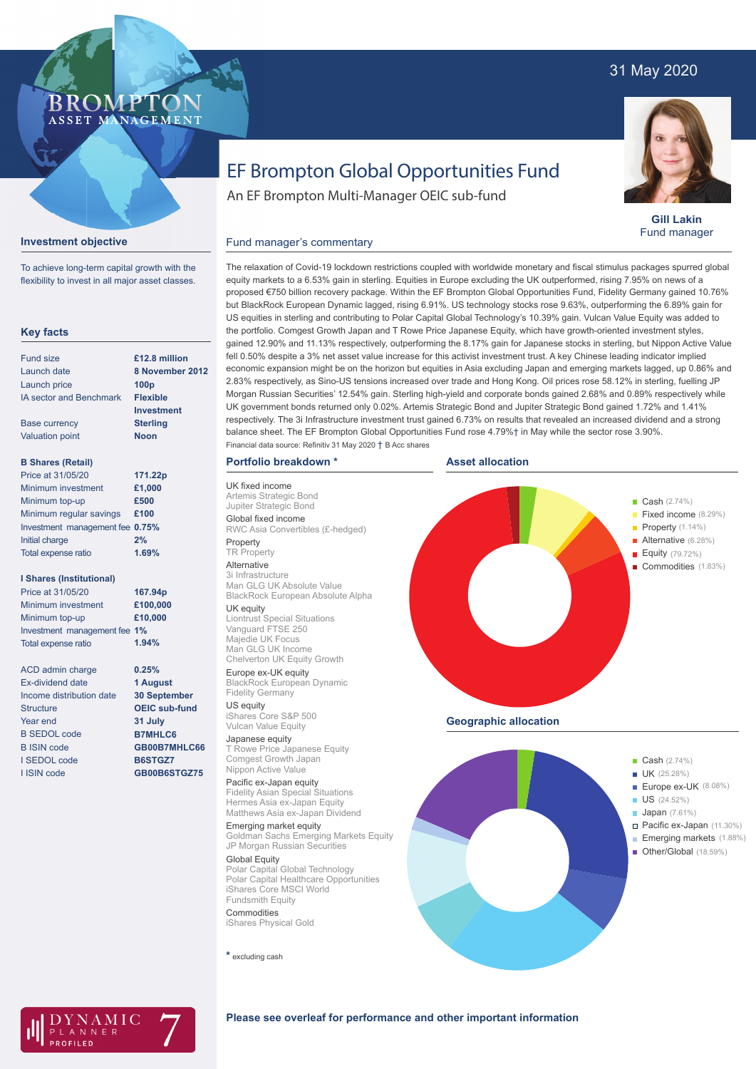## 31 May 2020



**Gill Lakin** Fund manager

# EF Brompton Global Opportunities Fund

An EF Brompton Multi-Manager OEIC sub-fund

## **Investment objective**

**BROMP** 

ASSET MANAGEMENT

To achieve long-term capital growth with the flexibility to invest in all major asset classes.

#### **Key facts**

| <b>Fund size</b>                | £12.8 million    |
|---------------------------------|------------------|
| Launch date                     | 8 November 2012  |
| Launch price                    | 100 <sub>p</sub> |
| <b>IA sector and Benchmark</b>  | <b>Flexible</b>  |
|                                 | Investment       |
| <b>Base currency</b>            | <b>Sterling</b>  |
| <b>Valuation point</b>          | <b>Noon</b>      |
| <b>B Shares (Retail)</b>        |                  |
| Price at 31/05/20               | 171.22p          |
| Minimum investment              | £1.000           |
| Minimum top-up                  | £500             |
| Minimum regular savings         | £100             |
| Investment management fee 0.75% |                  |
| Initial charge                  | 2%               |

#### **I Shares (Institutional)**

Total expense ratio

Minimum investment Minimum top-up Investment management fee **1%** Total expense ratio **£100,000 £10,000 167.94p** Price at 31/05/20 **1.94%**

> **0.25% 1 August 30 September OEIC sub-fund 31 July B7MHLC6 GB00B7MHLC66 B6STGZ7 GB00B6STGZ75**

**1.69%**

ACD admin charge Ex-dividend date Income distribution date **Structure** Year end B SEDOL code B ISIN code I SEDOL code I ISIN code

The relaxation of Covid-19 lockdown restrictions coupled with worldwide monetary and fiscal stimulus packages spurred global equity markets to a 6.53% gain in sterling. Equities in Europe excluding the UK outperformed, rising 7.95% on news of a proposed €750 billion recovery package. Within the EF Brompton Global Opportunities Fund, Fidelity Germany gained 10.76% but BlackRock European Dynamic lagged, rising 6.91%. US technology stocks rose 9.63%, outperforming the 6.89% gain for US equities in sterling and contributing to Polar Capital Global Technology's 10.39% gain. Vulcan Value Equity was added to the portfolio. Comgest Growth Japan and T Rowe Price Japanese Equity, which have growth-oriented investment styles, gained 12.90% and 11.13% respectively, outperforming the 8.17% gain for Japanese stocks in sterling, but Nippon Active Value fell 0.50% despite a 3% net asset value increase for this activist investment trust. A key Chinese leading indicator implied economic expansion might be on the horizon but equities in Asia excluding Japan and emerging markets lagged, up 0.86% and 2.83% respectively, as Sino-US tensions increased over trade and Hong Kong. Oil prices rose 58.12% in sterling, fuelling JP Morgan Russian Securities' 12.54% gain. Sterling high-yield and corporate bonds gained 2.68% and 0.89% respectively while UK government bonds returned only 0.02%. Artemis Strategic Bond and Jupiter Strategic Bond gained 1.72% and 1.41% respectively. The 3i Infrastructure investment trust gained 6.73% on results that revealed an increased dividend and a strong

## **Portfolio breakdown \***

Fund manager's commentary

UK fixed income Artemis Strategic Bond Jupiter Strategic Bond Global fixed income RWC Asia Convertibles (£-hedged) Property

### **TR** Property

Alternative 3i Infrastructure Man GLG UK Absolute Value BlackRock European Absolute Alpha

#### UK equity

Liontrust Special Situations Vanguard FTSE 250 Majedie UK Focus Man GLG UK Income Chelverton UK Equity Growth

Europe ex-UK equity BlackRock European Dynamic Fidelity Germany

US equity iShares Core S&P 500 Vulcan Value Equity Japanese equity

TRowe Price Japanese Equity Comgest Growth Japan Nippon Active Value Pacific ex-Japan equity

#### Fidelity Asian Special Situations Hermes Asia ex-Japan Equity

Matthews Asia ex-Japan Dividend Emerging market equity Goldman Sachs Emerging Markets Equity JP Morgan Russian Securities

Global Equity Polar Capital Global Technology Polar Capital Healthcare Opportunities iShares Core MSCI World Fundsmith Equity

Commodities iShares Physical Gold

**\*** excluding cash







#### **Please see overleaf for performance and other important information**